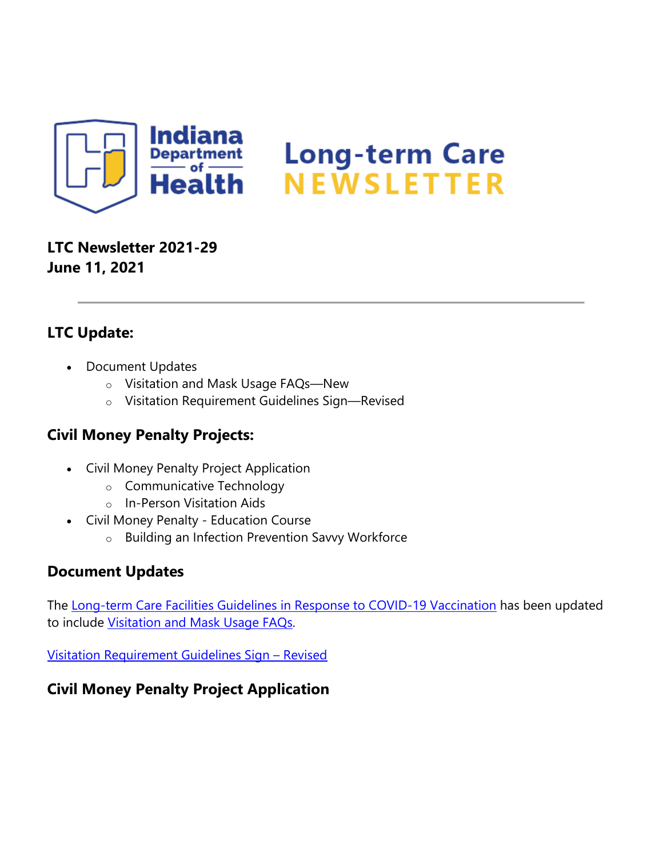

# **LTC Newsletter 2021-29 June 11, 2021**

# **LTC Update:**

- Document Updates
	- o Visitation and Mask Usage FAQs—New
	- o Visitation Requirement Guidelines Sign—Revised

## **Civil Money Penalty Projects:**

- Civil Money Penalty Project Application
	- o Communicative Technology
	- o In-Person Visitation Aids
- Civil Money Penalty Education Course
	- o Building an Infection Prevention Savvy Workforce

## **Document Updates**

The [Long-term Care Facilities Guidelines in Response to COVID-19 Vaccination](https://lnks.gd/l/eyJhbGciOiJIUzI1NiJ9.eyJidWxsZXRpbl9saW5rX2lkIjoxMDAsInVyaSI6ImJwMjpjbGljayIsImJ1bGxldGluX2lkIjoiMjAyMTA2MTEuNDE4MjUxMDEiLCJ1cmwiOiJodHRwczovL3d3dy5jb3JvbmF2aXJ1cy5pbi5nb3YvZmlsZXMvTFRDJTIwZ3VpZGVsaW5lcyUyMHJlc3BvbnNlJTIwdG8lMjBDT1ZJRC0xOSUyMFZhY2NpbmF0aW9uJTIwMDYuMDEuMjElMjAucGRmIn0.OAPNUEn-3jECrThG5kr3nCyF0Sg0TVi1h8qjrZJb45E/s/1439130268/br/107813730033-l) has been updated to include [Visitation and Mask Usage FAQs.](https://lnks.gd/l/eyJhbGciOiJIUzI1NiJ9.eyJidWxsZXRpbl9saW5rX2lkIjoxMDEsInVyaSI6ImJwMjpjbGljayIsImJ1bGxldGluX2lkIjoiMjAyMTA2MTEuNDE4MjUxMDEiLCJ1cmwiOiJodHRwczovL3d3dy5jb3JvbmF2aXJ1cy5pbi5nb3YvZmlsZXMvRkFRcyUyMDA2LjExLjIxLnBkZiJ9.PapIk-t4ogluPfV2TgWljZV90fDHyr-vaifzBlsJ7Tg/s/1439130268/br/107813730033-l)

[Visitation Requirement Guidelines Sign –](https://lnks.gd/l/eyJhbGciOiJIUzI1NiJ9.eyJidWxsZXRpbl9saW5rX2lkIjoxMDIsInVyaSI6ImJwMjpjbGljayIsImJ1bGxldGluX2lkIjoiMjAyMTA2MTEuNDE4MjUxMDEiLCJ1cmwiOiJodHRwczovL2NvbnRlbnQuZ292ZGVsaXZlcnkuY29tL2F0dGFjaG1lbnRzL0lOU0RILzIwMjEvMDYvMTEvZmlsZV9hdHRhY2htZW50cy8xODUxODMzLzIxX0xUQyUyMHZpc2l0YXRpb25fNi0xMS5wZGYifQ.REHmR90AI5u4ISwqCPRVAQ3D8BaEsolzNGJJa7Ok8pY/s/1439130268/br/107813730033-l) Revised

## **Civil Money Penalty Project Application**